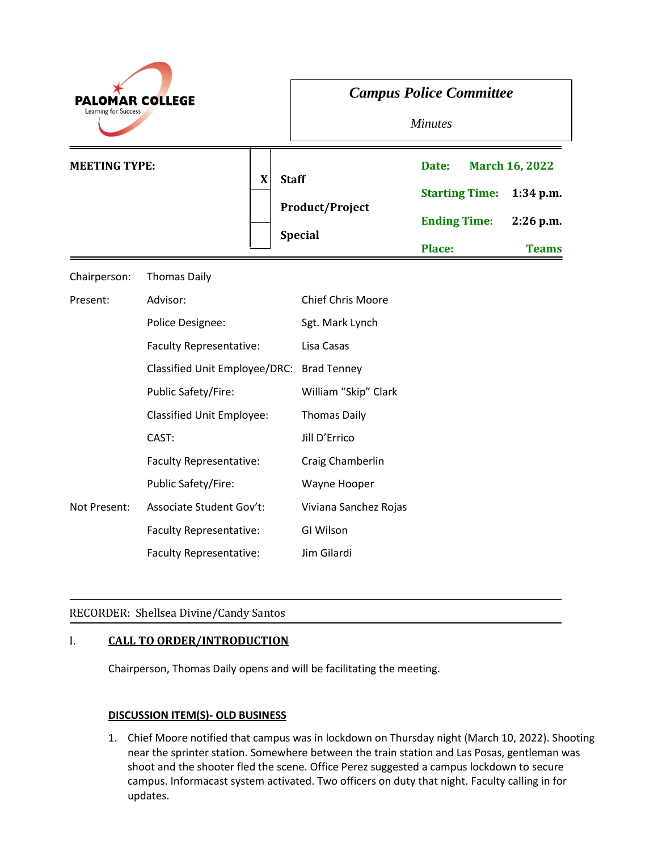| <b>PALOMAR COLLEGE</b><br>Learning for Success |                                      | <b>Campus Police Committee</b><br><b>Minutes</b>         |                                                                        |                                                                     |
|------------------------------------------------|--------------------------------------|----------------------------------------------------------|------------------------------------------------------------------------|---------------------------------------------------------------------|
| <b>MEETING TYPE:</b>                           | $\boldsymbol{\mathrm{X}}$            | <b>Staff</b><br><b>Product/Project</b><br><b>Special</b> | Date:<br><b>Starting Time:</b><br><b>Ending Time:</b><br><b>Place:</b> | <b>March 16, 2022</b><br>$1:34$ p.m.<br>$2:26$ p.m.<br><b>Teams</b> |
| Chairperson:                                   | <b>Thomas Daily</b>                  |                                                          |                                                                        |                                                                     |
| Present:                                       | Advisor:                             | <b>Chief Chris Moore</b>                                 |                                                                        |                                                                     |
|                                                | Police Designee:                     | Sgt. Mark Lynch                                          |                                                                        |                                                                     |
|                                                | Faculty Representative:              | Lisa Casas                                               |                                                                        |                                                                     |
|                                                | <b>Classified Unit Employee/DRC:</b> | <b>Brad Tenney</b>                                       |                                                                        |                                                                     |
|                                                | Public Safety/Fire:                  | William "Skip" Clark                                     |                                                                        |                                                                     |
|                                                | <b>Classified Unit Employee:</b>     | <b>Thomas Daily</b>                                      |                                                                        |                                                                     |
|                                                | CAST:                                | Jill D'Errico                                            |                                                                        |                                                                     |
|                                                | Faculty Representative:              | Craig Chamberlin                                         |                                                                        |                                                                     |
|                                                | Public Safety/Fire:                  | Wayne Hooper                                             |                                                                        |                                                                     |
| Not Present:                                   | <b>Associate Student Gov't:</b>      | Viviana Sanchez Rojas                                    |                                                                        |                                                                     |
|                                                | Faculty Representative:              | GI Wilson                                                |                                                                        |                                                                     |
|                                                | Faculty Representative:              | Jim Gilardi                                              |                                                                        |                                                                     |

# RECORDER: Shellsea Divine/Candy Santos

### I. **CALL TO ORDER/INTRODUCTION**

Chairperson, Thomas Daily opens and will be facilitating the meeting.

### **DISCUSSION ITEM(S)- OLD BUSINESS**

1. Chief Moore notified that campus was in lockdown on Thursday night (March 10, 2022). Shooting near the sprinter station. Somewhere between the train station and Las Posas, gentleman was shoot and the shooter fled the scene. Office Perez suggested a campus lockdown to secure campus. Informacast system activated. Two officers on duty that night. Faculty calling in for updates.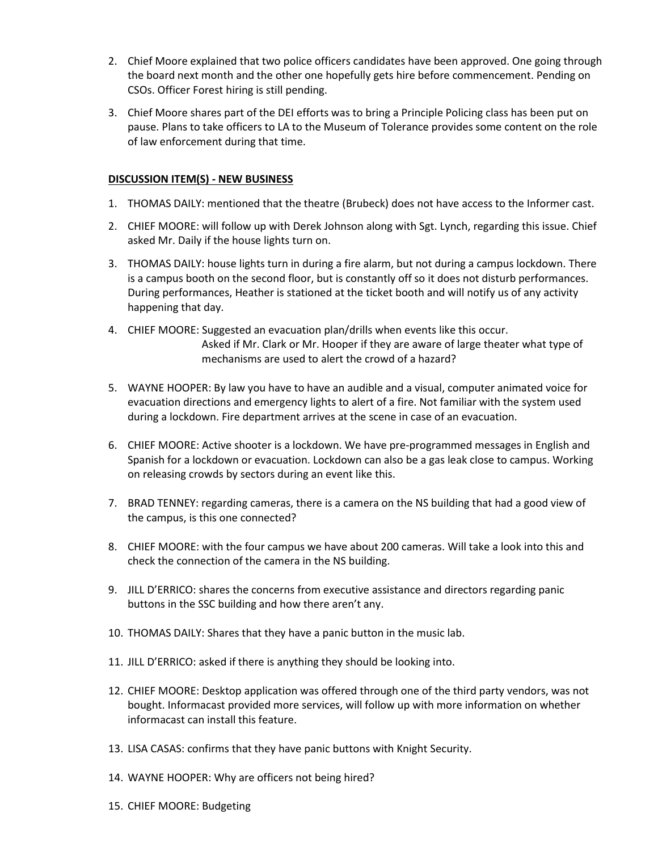- 2. Chief Moore explained that two police officers candidates have been approved. One going through the board next month and the other one hopefully gets hire before commencement. Pending on CSOs. Officer Forest hiring is still pending.
- 3. Chief Moore shares part of the DEI efforts was to bring a Principle Policing class has been put on pause. Plans to take officers to LA to the Museum of Tolerance provides some content on the role of law enforcement during that time.

# **DISCUSSION ITEM(S) - NEW BUSINESS**

- 1. THOMAS DAILY: mentioned that the theatre (Brubeck) does not have access to the Informer cast.
- 2. CHIEF MOORE: will follow up with Derek Johnson along with Sgt. Lynch, regarding this issue. Chief asked Mr. Daily if the house lights turn on.
- 3. THOMAS DAILY: house lights turn in during a fire alarm, but not during a campus lockdown. There is a campus booth on the second floor, but is constantly off so it does not disturb performances. During performances, Heather is stationed at the ticket booth and will notify us of any activity happening that day.
- 4. CHIEF MOORE: Suggested an evacuation plan/drills when events like this occur. Asked if Mr. Clark or Mr. Hooper if they are aware of large theater what type of mechanisms are used to alert the crowd of a hazard?
- 5. WAYNE HOOPER: By law you have to have an audible and a visual, computer animated voice for evacuation directions and emergency lights to alert of a fire. Not familiar with the system used during a lockdown. Fire department arrives at the scene in case of an evacuation.
- 6. CHIEF MOORE: Active shooter is a lockdown. We have pre-programmed messages in English and Spanish for a lockdown or evacuation. Lockdown can also be a gas leak close to campus. Working on releasing crowds by sectors during an event like this.
- 7. BRAD TENNEY: regarding cameras, there is a camera on the NS building that had a good view of the campus, is this one connected?
- 8. CHIEF MOORE: with the four campus we have about 200 cameras. Will take a look into this and check the connection of the camera in the NS building.
- 9. JILL D'ERRICO: shares the concerns from executive assistance and directors regarding panic buttons in the SSC building and how there aren't any.
- 10. THOMAS DAILY: Shares that they have a panic button in the music lab.
- 11. JILL D'ERRICO: asked if there is anything they should be looking into.
- 12. CHIEF MOORE: Desktop application was offered through one of the third party vendors, was not bought. Informacast provided more services, will follow up with more information on whether informacast can install this feature.
- 13. LISA CASAS: confirms that they have panic buttons with Knight Security.
- 14. WAYNE HOOPER: Why are officers not being hired?
- 15. CHIEF MOORE: Budgeting